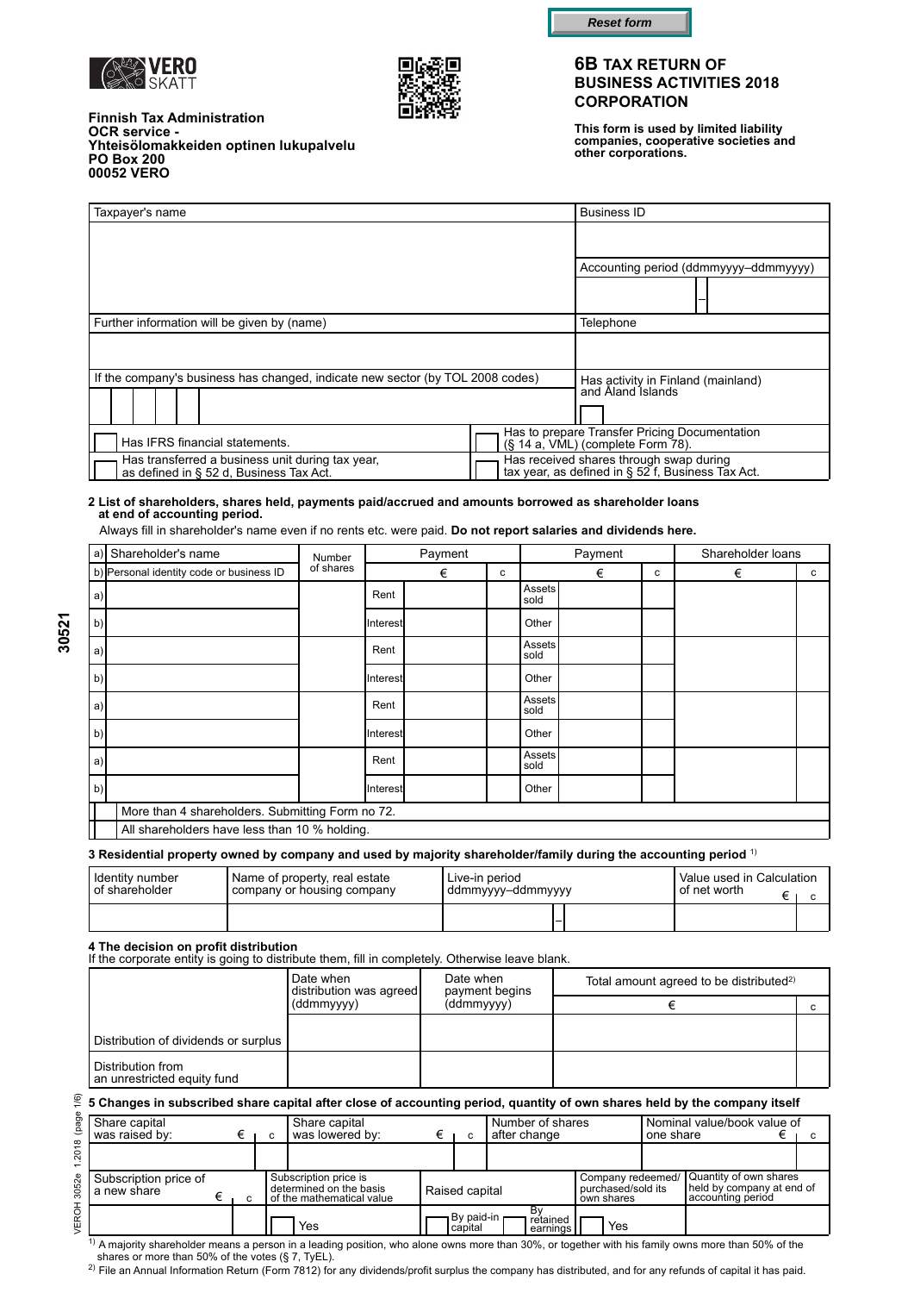





**This form is used by limited liability companies, cooperative societies and other corporations.**

| <b>Finnish Tax Administration</b><br><b>OCR service -</b><br>Yhteisölomakkeiden optinen lukupalvelu |  |
|-----------------------------------------------------------------------------------------------------|--|
| <b>PO Box 200</b>                                                                                   |  |
| 00052 VERO                                                                                          |  |

| Taxpayer's name                                                                             | <b>Business ID</b>                                                                           |
|---------------------------------------------------------------------------------------------|----------------------------------------------------------------------------------------------|
|                                                                                             |                                                                                              |
|                                                                                             | Accounting period (ddmmyyyy-ddmmyyyy)                                                        |
|                                                                                             |                                                                                              |
| Further information will be given by (name)                                                 | Telephone                                                                                    |
|                                                                                             |                                                                                              |
| If the company's business has changed, indicate new sector (by TOL 2008 codes)              | Has activity in Finland (mainland)<br>and Aland Islands                                      |
| Has IFRS financial statements.                                                              | Has to prepare Transfer Pricing Documentation<br>$(S$ 14 a, VML) (complete Form $78$ ).      |
| Has transferred a business unit during tax year,<br>as defined in § 52 d. Business Tax Act. | Has received shares through swap during<br>tax year, as defined in § 52 f, Business Tax Act. |

#### **2 List of shareholders, shares held, payments paid/accrued and amounts borrowed as shareholder loans at end of accounting period.**

Always fill in shareholder's name even if no rents etc. were paid. **Do not report salaries and dividends here.**

| a)           | Shareholder's name                               | Number    |          | Payment |   |                       | Payment |   | Shareholder loans |   |
|--------------|--------------------------------------------------|-----------|----------|---------|---|-----------------------|---------|---|-------------------|---|
|              | b) Personal identity code or business ID         | of shares |          | €       | с |                       | €       | c | €                 | C |
| a)           |                                                  |           | Rent     |         |   | <b>Assets</b><br>sold |         |   |                   |   |
| <sub>b</sub> |                                                  |           | Interest |         |   | Other                 |         |   |                   |   |
| a)           |                                                  |           | Rent     |         |   | Assets<br>sold        |         |   |                   |   |
| <sub>b</sub> |                                                  |           | Interest |         |   | Other                 |         |   |                   |   |
| a            |                                                  |           | Rent     |         |   | Assets<br>sold        |         |   |                   |   |
| b            |                                                  |           | Interest |         |   | Other                 |         |   |                   |   |
| a            |                                                  |           | Rent     |         |   | Assets<br>sold        |         |   |                   |   |
| b            |                                                  |           | Interest |         |   | Other                 |         |   |                   |   |
|              | More than 4 shareholders. Submitting Form no 72. |           |          |         |   |                       |         |   |                   |   |
|              | All shareholders have less than 10 % holding.    |           |          |         |   |                       |         |   |                   |   |

**3 Residential property owned by company and used by majority shareholder/family during the accounting period** 1)

| I Identity number | ! Name of property, real estate | Live-in period      | Value used in Calculation |  |
|-------------------|---------------------------------|---------------------|---------------------------|--|
| I of shareholder  | I company or housing company    | i ddmmyyyy–ddmmyyyy | I of net worth            |  |
|                   |                                 |                     |                           |  |

#### **4 The decision on profit distribution**

If the corporate entity is going to distribute them, fill in completely. Otherwise leave blank.

|                                                  | Date when<br>distribution was agreed<br>(ddmmyyyy) | Date when<br>payment begins | Total amount agreed to be distributed <sup>2)</sup> |  |  |
|--------------------------------------------------|----------------------------------------------------|-----------------------------|-----------------------------------------------------|--|--|
|                                                  |                                                    | (ddmmyyyy)                  |                                                     |  |  |
|                                                  |                                                    |                             |                                                     |  |  |
| Distribution of dividends or surplus             |                                                    |                             |                                                     |  |  |
| Distribution from<br>an unrestricted equity fund |                                                    |                             |                                                     |  |  |

#### **5 Changes in subscribed share capital after close of accounting period, quantity of own shares held by the company itself**

| Share capital<br>was raised by:      |   | c | Share capital<br>was lowered by:                                              | с                       | Number of shares<br>after change |                                                       | one share | Nominal value/book value of                                              |  |
|--------------------------------------|---|---|-------------------------------------------------------------------------------|-------------------------|----------------------------------|-------------------------------------------------------|-----------|--------------------------------------------------------------------------|--|
|                                      |   |   |                                                                               |                         |                                  |                                                       |           |                                                                          |  |
| Subscription price of<br>a new share | C |   | Subscription price is<br>determined on the basis<br>of the mathematical value | Raised capital          |                                  | Company redeemed/<br>purchased/sold its<br>own shares |           | Quantity of own shares<br>held by company at end of<br>accounting period |  |
|                                      |   |   | Yes                                                                           | ¬ By paid-in<br>capital | retained<br>earnings             | Yes                                                   |           |                                                                          |  |

VEROH 3052e 1.2018 (page 1/6)

 $1)$  A majority shareholder means a person in a leading position, who alone owns more than 30%, or together with his family owns more than 50% of the shares or more than 50% of the votes (§ 7, TyEL).

2) File an Annual Information Return (Form 7812) for any dividends/profit surplus the company has distributed, and for any refunds of capital it has paid.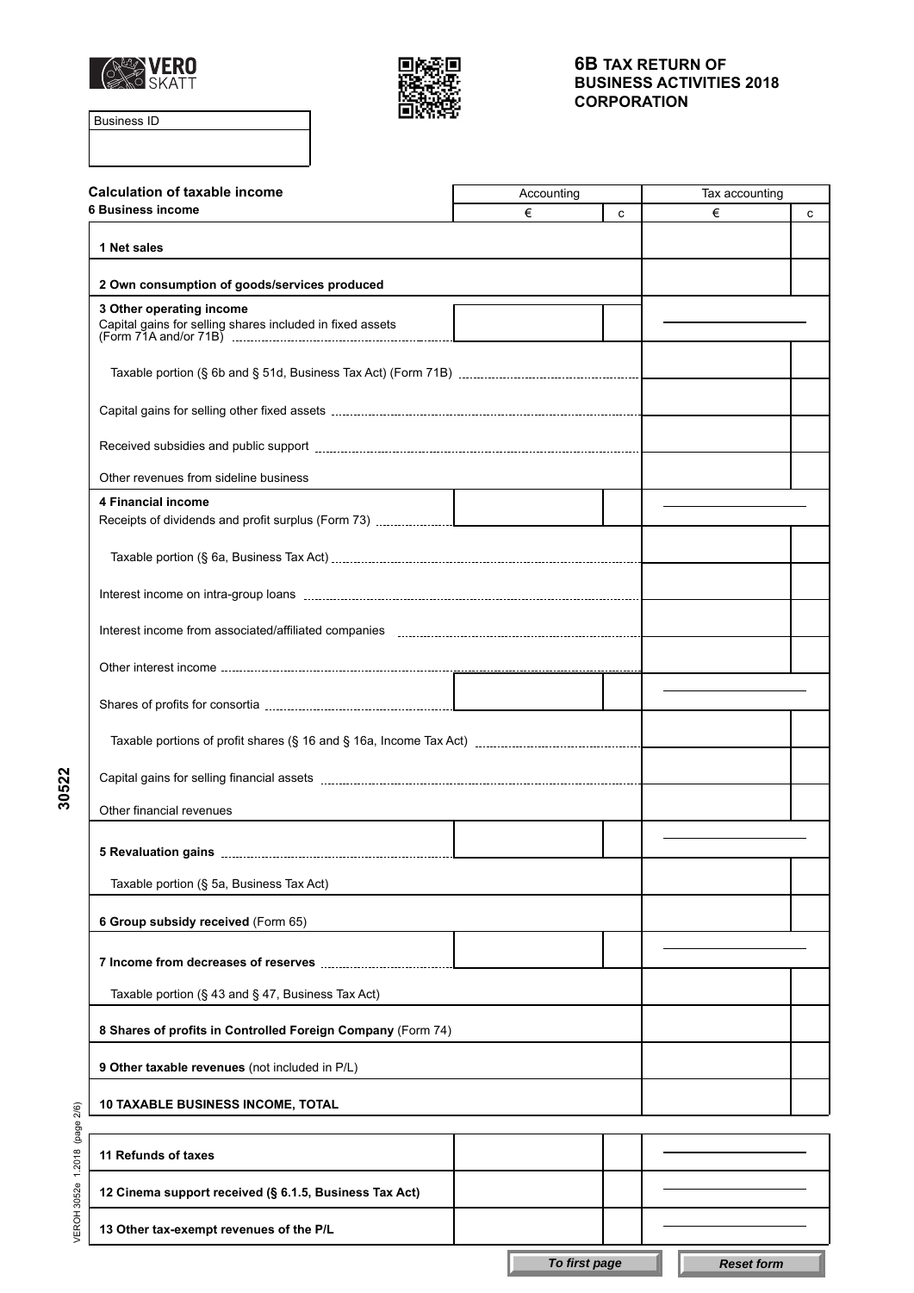



Business ID

| <b>Calculation of taxable income</b>                        | Accounting | Tax accounting |   |   |
|-------------------------------------------------------------|------------|----------------|---|---|
| 6 Business income                                           | €          | c              | € | c |
| 1 Net sales                                                 |            |                |   |   |
| 2 Own consumption of goods/services produced                |            |                |   |   |
| 3 Other operating income                                    |            |                |   |   |
| Capital gains for selling shares included in fixed assets   |            |                |   |   |
|                                                             |            |                |   |   |
|                                                             |            |                |   |   |
|                                                             |            |                |   |   |
| Other revenues from sideline business                       |            |                |   |   |
| 4 Financial income                                          |            |                |   |   |
|                                                             |            |                |   |   |
|                                                             |            |                |   |   |
|                                                             |            |                |   |   |
|                                                             |            |                |   |   |
|                                                             |            |                |   |   |
|                                                             |            |                |   |   |
|                                                             |            |                |   |   |
| Other financial revenues                                    |            |                |   |   |
|                                                             |            |                |   |   |
| Taxable portion (§ 5a, Business Tax Act)                    |            |                |   |   |
| 6 Group subsidy received (Form 65)                          |            |                |   |   |
|                                                             |            |                |   |   |
| Taxable portion (§ 43 and § 47, Business Tax Act)           |            |                |   |   |
| 8 Shares of profits in Controlled Foreign Company (Form 74) |            |                |   |   |
| 9 Other taxable revenues (not included in P/L)              |            |                |   |   |
| <b>10 TAXABLE BUSINESS INCOME, TOTAL</b>                    |            |                |   |   |
|                                                             |            |                |   |   |
| 11 Refunds of taxes                                         |            |                |   |   |
| 12 Cinema support received (§ 6.1.5, Business Tax Act)      |            |                |   |   |
| 13 Other tax-exempt revenues of the P/L                     |            |                |   |   |

**30522**

VEROH 3052e 1.2018 (page 2/6) VEROH 3052e 1.2018 (page 2/6)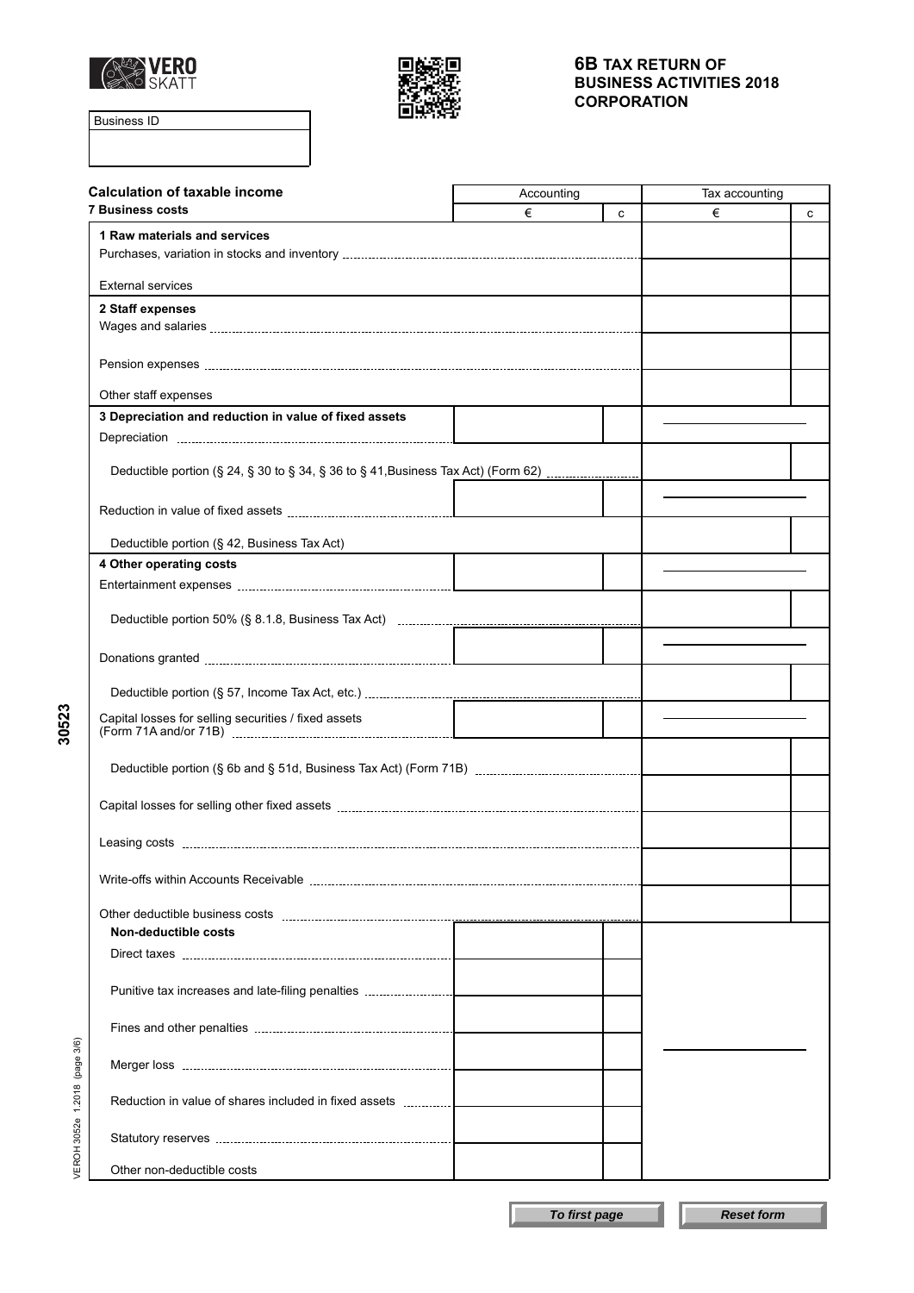



Business ID

**30523**

| <b>Calculation of taxable income</b>                                              | Accounting | Tax accounting |   |   |
|-----------------------------------------------------------------------------------|------------|----------------|---|---|
| <b>7 Business costs</b>                                                           | €          | C              | € | с |
| 1 Raw materials and services                                                      |            |                |   |   |
| <b>External services</b>                                                          |            |                |   |   |
| 2 Staff expenses                                                                  |            |                |   |   |
|                                                                                   |            |                |   |   |
|                                                                                   |            |                |   |   |
| Other staff expenses                                                              |            |                |   |   |
| 3 Depreciation and reduction in value of fixed assets                             |            |                |   |   |
|                                                                                   |            |                |   |   |
| Deductible portion (§ 24, § 30 to § 34, § 36 to § 41, Business Tax Act) (Form 62) |            |                |   |   |
|                                                                                   |            |                |   |   |
| Deductible portion (§ 42, Business Tax Act)                                       |            |                |   |   |
| 4 Other operating costs                                                           |            |                |   |   |
|                                                                                   |            |                |   |   |
|                                                                                   |            |                |   |   |
|                                                                                   |            |                |   |   |
|                                                                                   |            |                |   |   |
|                                                                                   |            |                |   |   |
| Capital losses for selling securities / fixed assets                              |            |                |   |   |
|                                                                                   |            |                |   |   |
|                                                                                   |            |                |   |   |
|                                                                                   |            |                |   |   |
|                                                                                   |            |                |   |   |
|                                                                                   |            |                |   |   |
| Non-deductible costs                                                              |            |                |   |   |
|                                                                                   |            |                |   |   |
|                                                                                   |            |                |   |   |
|                                                                                   |            |                |   |   |
| (page 3/6)                                                                        |            |                |   |   |
| 1.2018                                                                            |            |                |   |   |
| VEROH 3052e                                                                       |            |                |   |   |
| Other non-deductible costs                                                        |            |                |   |   |

**To first page Reset form**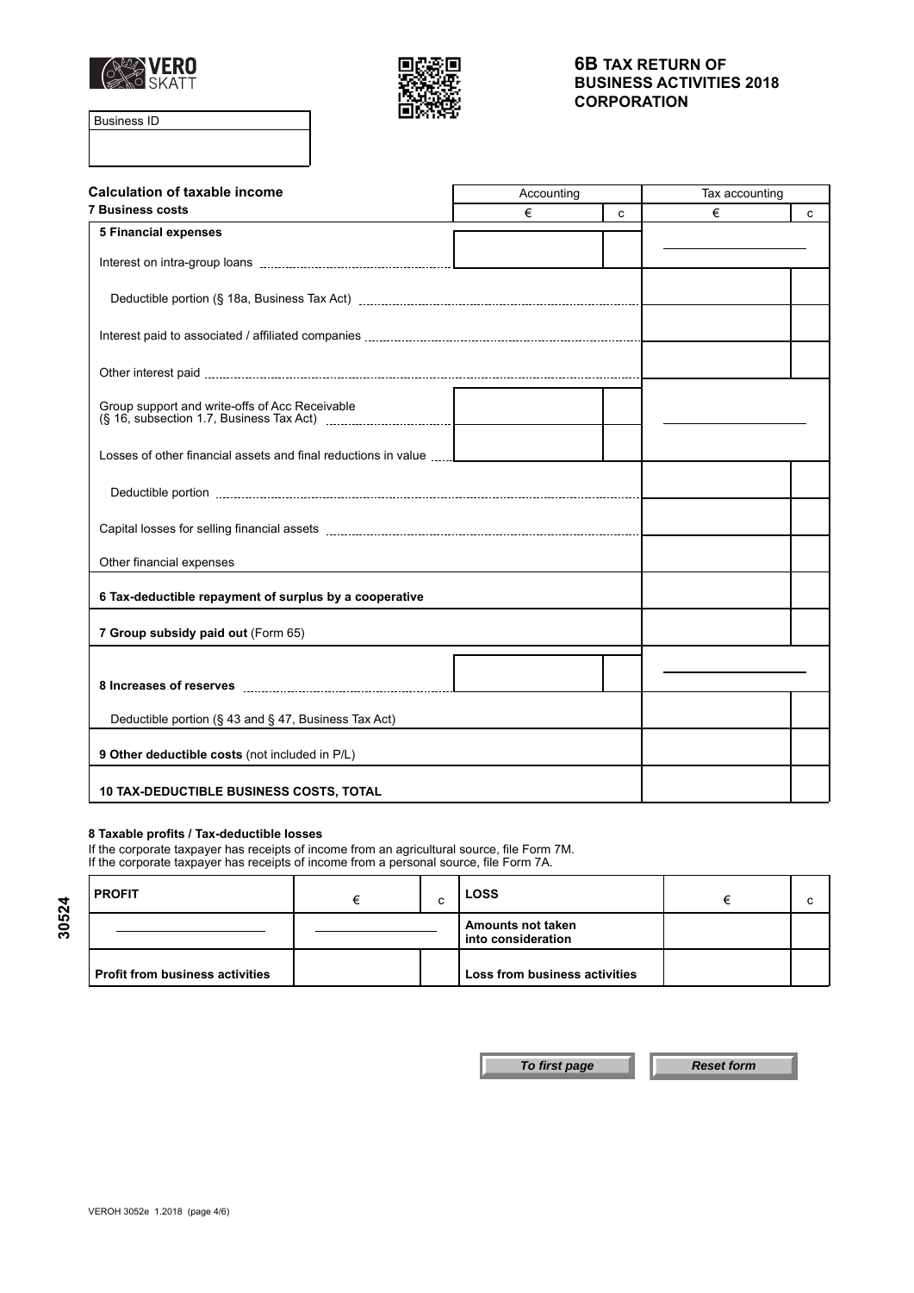



Business ID

| <b>Calculation of taxable income</b>                           | Accounting |   | Tax accounting |   |
|----------------------------------------------------------------|------------|---|----------------|---|
| <b>7 Business costs</b>                                        | €          | C | €              | C |
| <b>5 Financial expenses</b>                                    |            |   |                |   |
|                                                                |            |   |                |   |
|                                                                |            |   |                |   |
|                                                                |            |   |                |   |
|                                                                |            |   |                |   |
|                                                                |            |   |                |   |
| Losses of other financial assets and final reductions in value |            |   |                |   |
|                                                                |            |   |                |   |
|                                                                |            |   |                |   |
| Other financial expenses                                       |            |   |                |   |
| 6 Tax-deductible repayment of surplus by a cooperative         |            |   |                |   |
| 7 Group subsidy paid out (Form 65)                             |            |   |                |   |
|                                                                |            |   |                |   |
|                                                                |            |   |                |   |
| Deductible portion (§ 43 and § 47, Business Tax Act)           |            |   |                |   |
| 9 Other deductible costs (not included in P/L)                 |            |   |                |   |
| <b>10 TAX-DEDUCTIBLE BUSINESS COSTS, TOTAL</b>                 |            |   |                |   |

#### **8 Taxable profits / Tax-deductible losses**

If the corporate taxpayer has receipts of income from an agricultural source, file Form 7M. If the corporate taxpayer has receipts of income from a personal source, file Form 7A.

| <b>PROFIT</b>                          |  | $\sim$<br>u | <b>LOSS</b>                                    |  |
|----------------------------------------|--|-------------|------------------------------------------------|--|
|                                        |  |             | <b>Amounts not taken</b><br>into consideration |  |
| <b>Profit from business activities</b> |  |             | Loss from business activities                  |  |

**30524**

**To first page Reset form**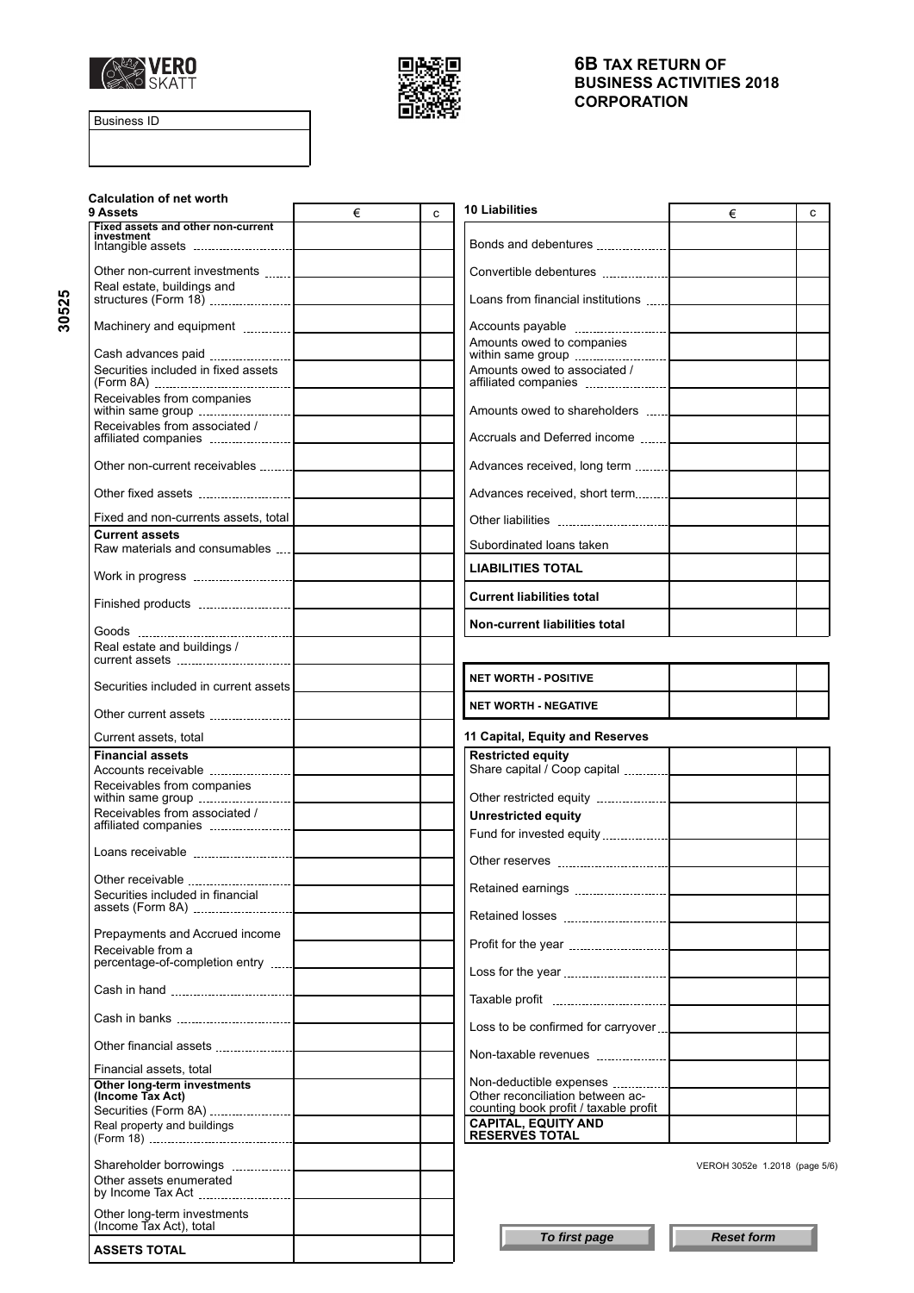



Business ID

| <b>Calculation of net worth</b><br>9 Assets            | € | C. | 10 Liabilities<br>€                                                 | C                             |
|--------------------------------------------------------|---|----|---------------------------------------------------------------------|-------------------------------|
| Fixed assets and other non-current<br>investment       |   |    |                                                                     |                               |
|                                                        |   |    |                                                                     |                               |
| Real estate, buildings and                             |   |    | Loans from financial institutions                                   |                               |
|                                                        |   |    |                                                                     |                               |
|                                                        |   |    | Amounts owed to companies                                           |                               |
| Securities included in fixed assets                    |   |    | Amounts owed to associated /                                        |                               |
| Receivables from companies                             |   |    |                                                                     |                               |
| Receivables from associated /                          |   |    | Accruals and Deferred income                                        |                               |
|                                                        |   |    | Advances received, long term                                        |                               |
|                                                        |   |    |                                                                     |                               |
| Fixed and non-currents assets, total                   |   |    |                                                                     |                               |
| <b>Current assets</b>                                  |   |    |                                                                     |                               |
| Raw materials and consumables    <b>CONSUMER</b>       |   |    | Subordinated loans taken                                            |                               |
|                                                        |   |    | <b>LIABILITIES TOTAL</b>                                            |                               |
|                                                        |   |    | <b>Current liabilities total</b>                                    |                               |
|                                                        |   |    | Non-current liabilities total                                       |                               |
| Real estate and buildings /                            |   |    |                                                                     |                               |
| Securities included in current assets                  |   |    | <b>NET WORTH - POSITIVE</b>                                         |                               |
|                                                        |   |    | <b>NET WORTH - NEGATIVE</b>                                         |                               |
| Current assets, total                                  |   |    | 11 Capital, Equity and Reserves                                     |                               |
| <b>Financial assets</b>                                |   |    | <b>Restricted equity</b><br>Share capital / Coop capital            |                               |
| Receivables from companies                             |   |    |                                                                     |                               |
| Receivables from associated /                          |   |    | <b>Unrestricted equity</b>                                          |                               |
|                                                        |   |    |                                                                     |                               |
|                                                        |   |    |                                                                     |                               |
| Other receivable                                       |   |    |                                                                     |                               |
| Securities included in financial                       |   |    |                                                                     |                               |
| Prepayments and Accrued income                         |   |    |                                                                     |                               |
| Receivable from a                                      |   |    |                                                                     |                               |
| percentage-of-completion entry                         |   |    |                                                                     |                               |
|                                                        |   |    |                                                                     |                               |
|                                                        |   |    | Loss to be confirmed for carryover                                  |                               |
|                                                        |   |    |                                                                     |                               |
| Financial assets, total<br>Other long-term investments |   |    |                                                                     |                               |
| (Income Tax Act)                                       |   |    | Other reconciliation between ac-                                    |                               |
|                                                        |   |    | counting book profit / taxable profit<br><b>CAPITAL, EQUITY AND</b> |                               |
| Real property and buildings                            |   |    | <b>RESERVES TOTAL</b>                                               |                               |
|                                                        |   |    |                                                                     | VEROH 3052e 1.2018 (page 5/6) |
|                                                        |   |    |                                                                     |                               |
| Other assets enumerated                                |   |    |                                                                     |                               |
| Other long-term investments<br>(Income Tax Act), total |   |    |                                                                     |                               |

**30525**